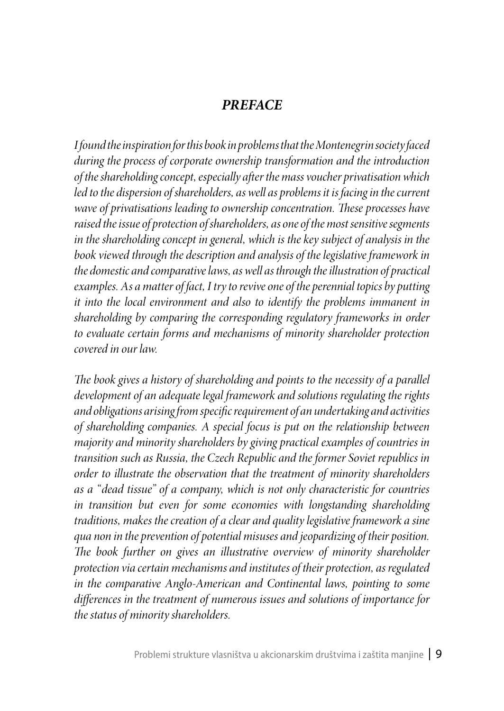## *PREFACE*

*I found the inspiration for this book in problems that the Montenegrin society faced during the process of corporate ownership transformation and the introduction of the shareholding concept, especially after the mass voucher privatisation which*  led to the dispersion of shareholders, as well as problems it is facing in the current *wave of privatisations leading to ownership concentration. These processes have raised the issue of protection of shareholders, as one of the most sensitive segments in the shareholding concept in general, which is the key subject of analysis in the book viewed through the description and analysis of the legislative framework in the domestic and comparative laws, as well as through the illustration of practical examples. As a matter of fact, I try to revive one of the perennial topics by putting it into the local environment and also to identify the problems immanent in shareholding by comparing the corresponding regulatory frameworks in order to evaluate certain forms and mechanisms of minority shareholder protection covered in our law.* 

*The book gives a history of shareholding and points to the necessity of a parallel development of an adequate legal framework and solutions regulating the rights and obligations arising from specific requirement of an undertaking and activities of shareholding companies. A special focus is put on the relationship between majority and minority shareholders by giving practical examples of countries in transition such as Russia, the Czech Republic and the former Soviet republics in order to illustrate the observation that the treatment of minority shareholders as a "dead tissue" of a company, which is not only characteristic for countries in transition but even for some economies with longstanding shareholding traditions, makes the creation of a clear and quality legislative framework a sine qua non in the prevention of potential misuses and jeopardizing of their position. The book further on gives an illustrative overview of minority shareholder protection via certain mechanisms and institutes of their protection, as regulated in the comparative Anglo-American and Continental laws, pointing to some differences in the treatment of numerous issues and solutions of importance for the status of minority shareholders.*